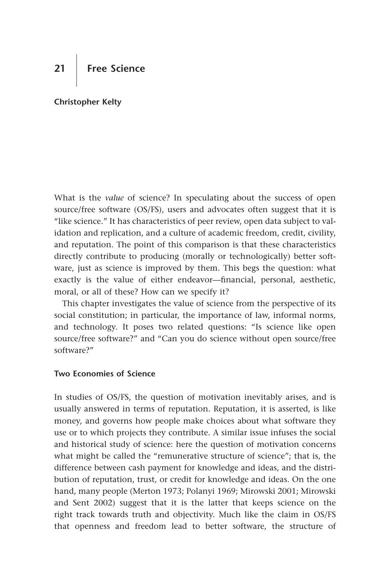### **Christopher Kelty**

What is the *value* of science? In speculating about the success of open source/free software (OS/FS), users and advocates often suggest that it is "like science." It has characteristics of peer review, open data subject to validation and replication, and a culture of academic freedom, credit, civility, and reputation. The point of this comparison is that these characteristics directly contribute to producing (morally or technologically) better software, just as science is improved by them. This begs the question: what exactly is the value of either endeavor—financial, personal, aesthetic, moral, or all of these? How can we specify it?

This chapter investigates the value of science from the perspective of its social constitution; in particular, the importance of law, informal norms, and technology. It poses two related questions: "Is science like open source/free software?" and "Can you do science without open source/free software?"

### **Two Economies of Science**

In studies of OS/FS, the question of motivation inevitably arises, and is usually answered in terms of reputation. Reputation, it is asserted, is like money, and governs how people make choices about what software they use or to which projects they contribute. A similar issue infuses the social and historical study of science: here the question of motivation concerns what might be called the "remunerative structure of science"; that is, the difference between cash payment for knowledge and ideas, and the distribution of reputation, trust, or credit for knowledge and ideas. On the one hand, many people (Merton 1973; Polanyi 1969; Mirowski 2001; Mirowski and Sent 2002) suggest that it is the latter that keeps science on the right track towards truth and objectivity. Much like the claim in OS/FS that openness and freedom lead to better software, the structure of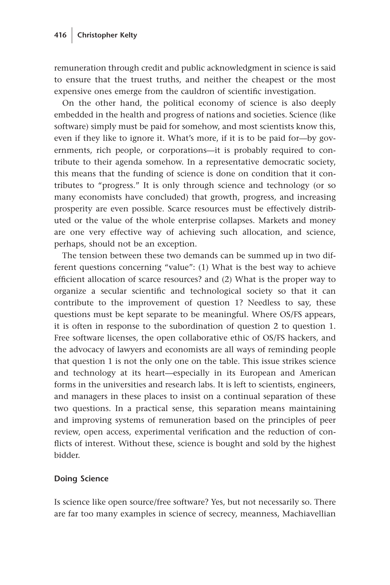remuneration through credit and public acknowledgment in science is said to ensure that the truest truths, and neither the cheapest or the most expensive ones emerge from the cauldron of scientific investigation.

On the other hand, the political economy of science is also deeply embedded in the health and progress of nations and societies. Science (like software) simply must be paid for somehow, and most scientists know this, even if they like to ignore it. What's more, if it is to be paid for—by governments, rich people, or corporations—it is probably required to contribute to their agenda somehow. In a representative democratic society, this means that the funding of science is done on condition that it contributes to "progress." It is only through science and technology (or so many economists have concluded) that growth, progress, and increasing prosperity are even possible. Scarce resources must be effectively distributed or the value of the whole enterprise collapses. Markets and money are one very effective way of achieving such allocation, and science, perhaps, should not be an exception.

The tension between these two demands can be summed up in two different questions concerning "value": (1) What is the best way to achieve efficient allocation of scarce resources? and (2) What is the proper way to organize a secular scientific and technological society so that it can contribute to the improvement of question 1? Needless to say, these questions must be kept separate to be meaningful. Where OS/FS appears, it is often in response to the subordination of question 2 to question 1. Free software licenses, the open collaborative ethic of OS/FS hackers, and the advocacy of lawyers and economists are all ways of reminding people that question 1 is not the only one on the table. This issue strikes science and technology at its heart—especially in its European and American forms in the universities and research labs. It is left to scientists, engineers, and managers in these places to insist on a continual separation of these two questions. In a practical sense, this separation means maintaining and improving systems of remuneration based on the principles of peer review, open access, experimental verification and the reduction of conflicts of interest. Without these, science is bought and sold by the highest bidder.

## **Doing Science**

Is science like open source/free software? Yes, but not necessarily so. There are far too many examples in science of secrecy, meanness, Machiavellian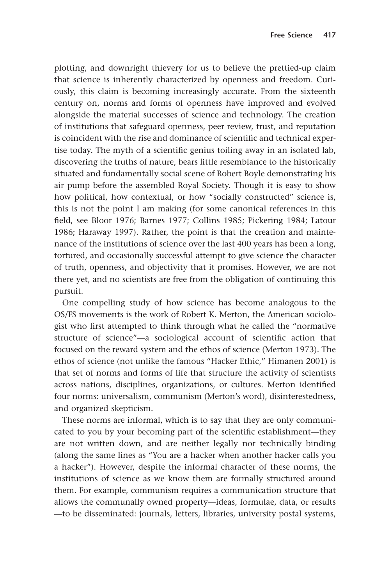plotting, and downright thievery for us to believe the prettied-up claim that science is inherently characterized by openness and freedom. Curiously, this claim is becoming increasingly accurate. From the sixteenth century on, norms and forms of openness have improved and evolved alongside the material successes of science and technology. The creation of institutions that safeguard openness, peer review, trust, and reputation is coincident with the rise and dominance of scientific and technical expertise today. The myth of a scientific genius toiling away in an isolated lab, discovering the truths of nature, bears little resemblance to the historically situated and fundamentally social scene of Robert Boyle demonstrating his air pump before the assembled Royal Society. Though it is easy to show how political, how contextual, or how "socially constructed" science is, this is not the point I am making (for some canonical references in this field, see Bloor 1976; Barnes 1977; Collins 1985; Pickering 1984; Latour 1986; Haraway 1997). Rather, the point is that the creation and maintenance of the institutions of science over the last 400 years has been a long, tortured, and occasionally successful attempt to give science the character of truth, openness, and objectivity that it promises. However, we are not there yet, and no scientists are free from the obligation of continuing this pursuit.

One compelling study of how science has become analogous to the OS/FS movements is the work of Robert K. Merton, the American sociologist who first attempted to think through what he called the "normative structure of science"—a sociological account of scientific action that focused on the reward system and the ethos of science (Merton 1973). The ethos of science (not unlike the famous "Hacker Ethic," Himanen 2001) is that set of norms and forms of life that structure the activity of scientists across nations, disciplines, organizations, or cultures. Merton identified four norms: universalism, communism (Merton's word), disinterestedness, and organized skepticism.

These norms are informal, which is to say that they are only communicated to you by your becoming part of the scientific establishment—they are not written down, and are neither legally nor technically binding (along the same lines as "You are a hacker when another hacker calls you a hacker"). However, despite the informal character of these norms, the institutions of science as we know them are formally structured around them. For example, communism requires a communication structure that allows the communally owned property—ideas, formulae, data, or results —to be disseminated: journals, letters, libraries, university postal systems,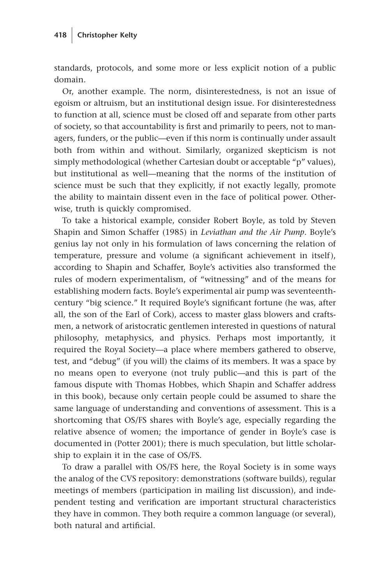standards, protocols, and some more or less explicit notion of a public domain.

Or, another example. The norm, disinterestedness, is not an issue of egoism or altruism, but an institutional design issue. For disinterestedness to function at all, science must be closed off and separate from other parts of society, so that accountability is first and primarily to peers, not to managers, funders, or the public—even if this norm is continually under assault both from within and without. Similarly, organized skepticism is not simply methodological (whether Cartesian doubt or acceptable "p" values), but institutional as well—meaning that the norms of the institution of science must be such that they explicitly, if not exactly legally, promote the ability to maintain dissent even in the face of political power. Otherwise, truth is quickly compromised.

To take a historical example, consider Robert Boyle, as told by Steven Shapin and Simon Schaffer (1985) in *Leviathan and the Air Pump*. Boyle's genius lay not only in his formulation of laws concerning the relation of temperature, pressure and volume (a significant achievement in itself), according to Shapin and Schaffer, Boyle's activities also transformed the rules of modern experimentalism, of "witnessing" and of the means for establishing modern facts. Boyle's experimental air pump was seventeenthcentury "big science." It required Boyle's significant fortune (he was, after all, the son of the Earl of Cork), access to master glass blowers and craftsmen, a network of aristocratic gentlemen interested in questions of natural philosophy, metaphysics, and physics. Perhaps most importantly, it required the Royal Society—a place where members gathered to observe, test, and "debug" (if you will) the claims of its members. It was a space by no means open to everyone (not truly public—and this is part of the famous dispute with Thomas Hobbes, which Shapin and Schaffer address in this book), because only certain people could be assumed to share the same language of understanding and conventions of assessment. This is a shortcoming that OS/FS shares with Boyle's age, especially regarding the relative absence of women; the importance of gender in Boyle's case is documented in (Potter 2001); there is much speculation, but little scholarship to explain it in the case of OS/FS.

To draw a parallel with OS/FS here, the Royal Society is in some ways the analog of the CVS repository: demonstrations (software builds), regular meetings of members (participation in mailing list discussion), and independent testing and verification are important structural characteristics they have in common. They both require a common language (or several), both natural and artificial.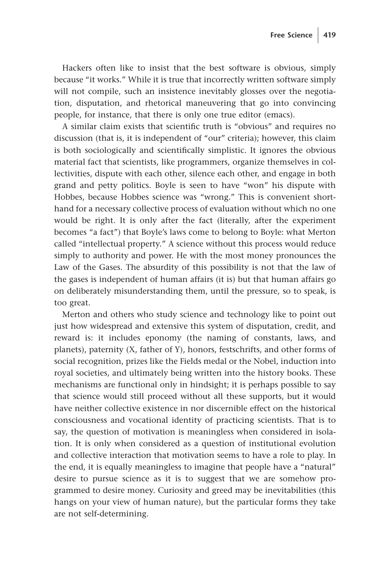Hackers often like to insist that the best software is obvious, simply because "it works." While it is true that incorrectly written software simply will not compile, such an insistence inevitably glosses over the negotiation, disputation, and rhetorical maneuvering that go into convincing people, for instance, that there is only one true editor (emacs).

A similar claim exists that scientific truth is "obvious" and requires no discussion (that is, it is independent of "our" criteria); however, this claim is both sociologically and scientifically simplistic. It ignores the obvious material fact that scientists, like programmers, organize themselves in collectivities, dispute with each other, silence each other, and engage in both grand and petty politics. Boyle is seen to have "won" his dispute with Hobbes, because Hobbes science was "wrong." This is convenient shorthand for a necessary collective process of evaluation without which no one would be right. It is only after the fact (literally, after the experiment becomes "a fact") that Boyle's laws come to belong to Boyle: what Merton called "intellectual property." A science without this process would reduce simply to authority and power. He with the most money pronounces the Law of the Gases. The absurdity of this possibility is not that the law of the gases is independent of human affairs (it is) but that human affairs go on deliberately misunderstanding them, until the pressure, so to speak, is too great.

Merton and others who study science and technology like to point out just how widespread and extensive this system of disputation, credit, and reward is: it includes eponomy (the naming of constants, laws, and planets), paternity (X, father of Y), honors, festschrifts, and other forms of social recognition, prizes like the Fields medal or the Nobel, induction into royal societies, and ultimately being written into the history books. These mechanisms are functional only in hindsight; it is perhaps possible to say that science would still proceed without all these supports, but it would have neither collective existence in nor discernible effect on the historical consciousness and vocational identity of practicing scientists. That is to say, the question of motivation is meaningless when considered in isolation. It is only when considered as a question of institutional evolution and collective interaction that motivation seems to have a role to play. In the end, it is equally meaningless to imagine that people have a "natural" desire to pursue science as it is to suggest that we are somehow programmed to desire money. Curiosity and greed may be inevitabilities (this hangs on your view of human nature), but the particular forms they take are not self-determining.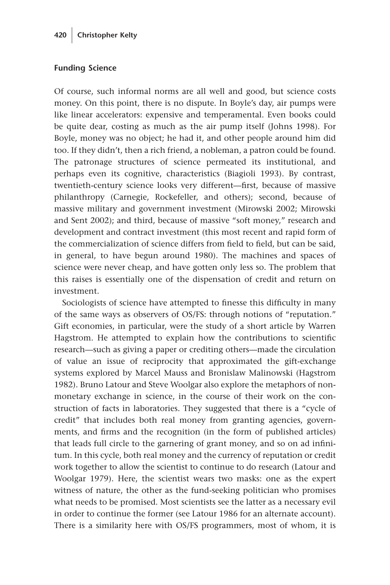## **Funding Science**

Of course, such informal norms are all well and good, but science costs money. On this point, there is no dispute. In Boyle's day, air pumps were like linear accelerators: expensive and temperamental. Even books could be quite dear, costing as much as the air pump itself (Johns 1998). For Boyle, money was no object; he had it, and other people around him did too. If they didn't, then a rich friend, a nobleman, a patron could be found. The patronage structures of science permeated its institutional, and perhaps even its cognitive, characteristics (Biagioli 1993). By contrast, twentieth-century science looks very different—first, because of massive philanthropy (Carnegie, Rockefeller, and others); second, because of massive military and government investment (Mirowski 2002; Mirowski and Sent 2002); and third, because of massive "soft money," research and development and contract investment (this most recent and rapid form of the commercialization of science differs from field to field, but can be said, in general, to have begun around 1980). The machines and spaces of science were never cheap, and have gotten only less so. The problem that this raises is essentially one of the dispensation of credit and return on investment.

Sociologists of science have attempted to finesse this difficulty in many of the same ways as observers of OS/FS: through notions of "reputation." Gift economies, in particular, were the study of a short article by Warren Hagstrom. He attempted to explain how the contributions to scientific research—such as giving a paper or crediting others—made the circulation of value an issue of reciprocity that approximated the gift-exchange systems explored by Marcel Mauss and Bronislaw Malinowski (Hagstrom 1982). Bruno Latour and Steve Woolgar also explore the metaphors of nonmonetary exchange in science, in the course of their work on the construction of facts in laboratories. They suggested that there is a "cycle of credit" that includes both real money from granting agencies, governments, and firms and the recognition (in the form of published articles) that leads full circle to the garnering of grant money, and so on ad infinitum. In this cycle, both real money and the currency of reputation or credit work together to allow the scientist to continue to do research (Latour and Woolgar 1979). Here, the scientist wears two masks: one as the expert witness of nature, the other as the fund-seeking politician who promises what needs to be promised. Most scientists see the latter as a necessary evil in order to continue the former (see Latour 1986 for an alternate account). There is a similarity here with OS/FS programmers, most of whom, it is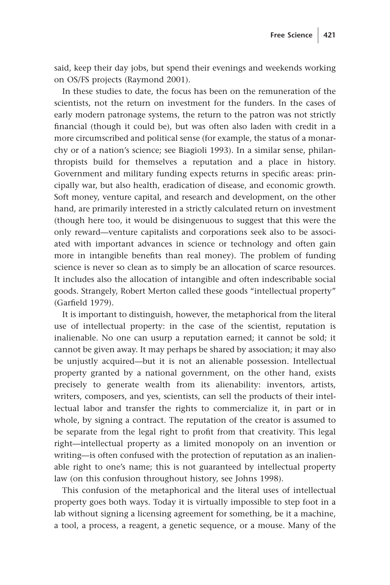said, keep their day jobs, but spend their evenings and weekends working on OS/FS projects (Raymond 2001).

In these studies to date, the focus has been on the remuneration of the scientists, not the return on investment for the funders. In the cases of early modern patronage systems, the return to the patron was not strictly financial (though it could be), but was often also laden with credit in a more circumscribed and political sense (for example, the status of a monarchy or of a nation's science; see Biagioli 1993). In a similar sense, philanthropists build for themselves a reputation and a place in history. Government and military funding expects returns in specific areas: principally war, but also health, eradication of disease, and economic growth. Soft money, venture capital, and research and development, on the other hand, are primarily interested in a strictly calculated return on investment (though here too, it would be disingenuous to suggest that this were the only reward—venture capitalists and corporations seek also to be associated with important advances in science or technology and often gain more in intangible benefits than real money). The problem of funding science is never so clean as to simply be an allocation of scarce resources. It includes also the allocation of intangible and often indescribable social goods. Strangely, Robert Merton called these goods "intellectual property" (Garfield 1979).

It is important to distinguish, however, the metaphorical from the literal use of intellectual property: in the case of the scientist, reputation is inalienable. No one can usurp a reputation earned; it cannot be sold; it cannot be given away. It may perhaps be shared by association; it may also be unjustly acquired—but it is not an alienable possession. Intellectual property granted by a national government, on the other hand, exists precisely to generate wealth from its alienability: inventors, artists, writers, composers, and yes, scientists, can sell the products of their intellectual labor and transfer the rights to commercialize it, in part or in whole, by signing a contract. The reputation of the creator is assumed to be separate from the legal right to profit from that creativity. This legal right—intellectual property as a limited monopoly on an invention or writing—is often confused with the protection of reputation as an inalienable right to one's name; this is not guaranteed by intellectual property law (on this confusion throughout history, see Johns 1998).

This confusion of the metaphorical and the literal uses of intellectual property goes both ways. Today it is virtually impossible to step foot in a lab without signing a licensing agreement for something, be it a machine, a tool, a process, a reagent, a genetic sequence, or a mouse. Many of the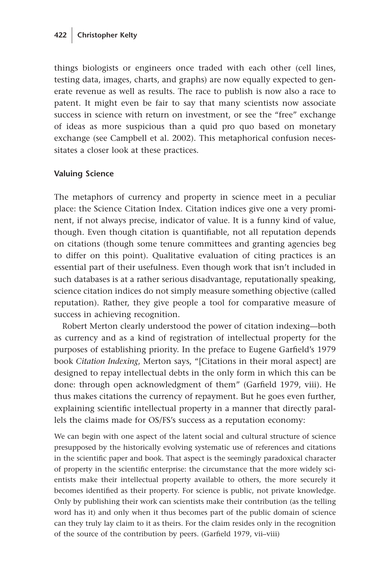# **422 Christopher Kelty**

things biologists or engineers once traded with each other (cell lines, testing data, images, charts, and graphs) are now equally expected to generate revenue as well as results. The race to publish is now also a race to patent. It might even be fair to say that many scientists now associate success in science with return on investment, or see the "free" exchange of ideas as more suspicious than a quid pro quo based on monetary exchange (see Campbell et al. 2002). This metaphorical confusion necessitates a closer look at these practices.

# **Valuing Science**

The metaphors of currency and property in science meet in a peculiar place: the Science Citation Index. Citation indices give one a very prominent, if not always precise, indicator of value. It is a funny kind of value, though. Even though citation is quantifiable, not all reputation depends on citations (though some tenure committees and granting agencies beg to differ on this point). Qualitative evaluation of citing practices is an essential part of their usefulness. Even though work that isn't included in such databases is at a rather serious disadvantage, reputationally speaking, science citation indices do not simply measure something objective (called reputation). Rather, they give people a tool for comparative measure of success in achieving recognition.

Robert Merton clearly understood the power of citation indexing—both as currency and as a kind of registration of intellectual property for the purposes of establishing priority. In the preface to Eugene Garfield's 1979 book *Citation Indexing*, Merton says, "[Citations in their moral aspect] are designed to repay intellectual debts in the only form in which this can be done: through open acknowledgment of them" (Garfield 1979, viii). He thus makes citations the currency of repayment. But he goes even further, explaining scientific intellectual property in a manner that directly parallels the claims made for OS/FS's success as a reputation economy:

We can begin with one aspect of the latent social and cultural structure of science presupposed by the historically evolving systematic use of references and citations in the scientific paper and book. That aspect is the seemingly paradoxical character of property in the scientific enterprise: the circumstance that the more widely scientists make their intellectual property available to others, the more securely it becomes identified as their property. For science is public, not private knowledge. Only by publishing their work can scientists make their contribution (as the telling word has it) and only when it thus becomes part of the public domain of science can they truly lay claim to it as theirs. For the claim resides only in the recognition of the source of the contribution by peers. (Garfield 1979, vii–viii)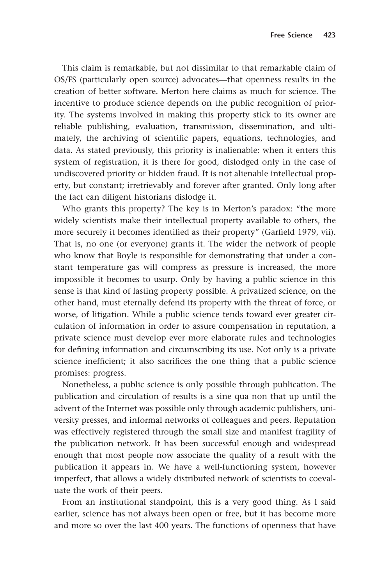This claim is remarkable, but not dissimilar to that remarkable claim of OS/FS (particularly open source) advocates—that openness results in the creation of better software. Merton here claims as much for science. The incentive to produce science depends on the public recognition of priority. The systems involved in making this property stick to its owner are reliable publishing, evaluation, transmission, dissemination, and ultimately, the archiving of scientific papers, equations, technologies, and data. As stated previously, this priority is inalienable: when it enters this system of registration, it is there for good, dislodged only in the case of undiscovered priority or hidden fraud. It is not alienable intellectual property, but constant; irretrievably and forever after granted. Only long after the fact can diligent historians dislodge it.

Who grants this property? The key is in Merton's paradox: "the more widely scientists make their intellectual property available to others, the more securely it becomes identified as their property" (Garfield 1979, vii). That is, no one (or everyone) grants it. The wider the network of people who know that Boyle is responsible for demonstrating that under a constant temperature gas will compress as pressure is increased, the more impossible it becomes to usurp. Only by having a public science in this sense is that kind of lasting property possible. A privatized science, on the other hand, must eternally defend its property with the threat of force, or worse, of litigation. While a public science tends toward ever greater circulation of information in order to assure compensation in reputation, a private science must develop ever more elaborate rules and technologies for defining information and circumscribing its use. Not only is a private science inefficient; it also sacrifices the one thing that a public science promises: progress.

Nonetheless, a public science is only possible through publication. The publication and circulation of results is a sine qua non that up until the advent of the Internet was possible only through academic publishers, university presses, and informal networks of colleagues and peers. Reputation was effectively registered through the small size and manifest fragility of the publication network. It has been successful enough and widespread enough that most people now associate the quality of a result with the publication it appears in. We have a well-functioning system, however imperfect, that allows a widely distributed network of scientists to coevaluate the work of their peers.

From an institutional standpoint, this is a very good thing. As I said earlier, science has not always been open or free, but it has become more and more so over the last 400 years. The functions of openness that have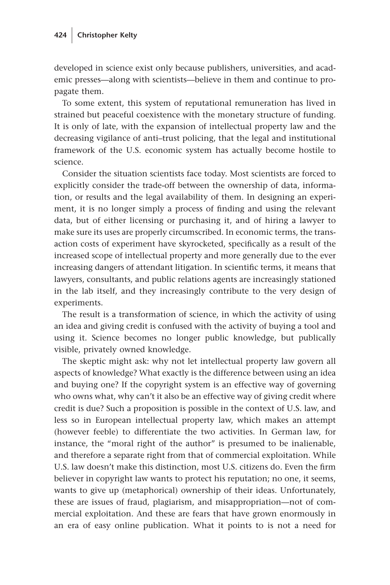# **424 Christopher Kelty**

developed in science exist only because publishers, universities, and academic presses—along with scientists—believe in them and continue to propagate them.

To some extent, this system of reputational remuneration has lived in strained but peaceful coexistence with the monetary structure of funding. It is only of late, with the expansion of intellectual property law and the decreasing vigilance of anti–trust policing, that the legal and institutional framework of the U.S. economic system has actually become hostile to science.

Consider the situation scientists face today. Most scientists are forced to explicitly consider the trade-off between the ownership of data, information, or results and the legal availability of them. In designing an experiment, it is no longer simply a process of finding and using the relevant data, but of either licensing or purchasing it, and of hiring a lawyer to make sure its uses are properly circumscribed. In economic terms, the transaction costs of experiment have skyrocketed, specifically as a result of the increased scope of intellectual property and more generally due to the ever increasing dangers of attendant litigation. In scientific terms, it means that lawyers, consultants, and public relations agents are increasingly stationed in the lab itself, and they increasingly contribute to the very design of experiments.

The result is a transformation of science, in which the activity of using an idea and giving credit is confused with the activity of buying a tool and using it. Science becomes no longer public knowledge, but publically visible, privately owned knowledge.

The skeptic might ask: why not let intellectual property law govern all aspects of knowledge? What exactly is the difference between using an idea and buying one? If the copyright system is an effective way of governing who owns what, why can't it also be an effective way of giving credit where credit is due? Such a proposition is possible in the context of U.S. law, and less so in European intellectual property law, which makes an attempt (however feeble) to differentiate the two activities. In German law, for instance, the "moral right of the author" is presumed to be inalienable, and therefore a separate right from that of commercial exploitation. While U.S. law doesn't make this distinction, most U.S. citizens do. Even the firm believer in copyright law wants to protect his reputation; no one, it seems, wants to give up (metaphorical) ownership of their ideas. Unfortunately, these are issues of fraud, plagiarism, and misappropriation—not of commercial exploitation. And these are fears that have grown enormously in an era of easy online publication. What it points to is not a need for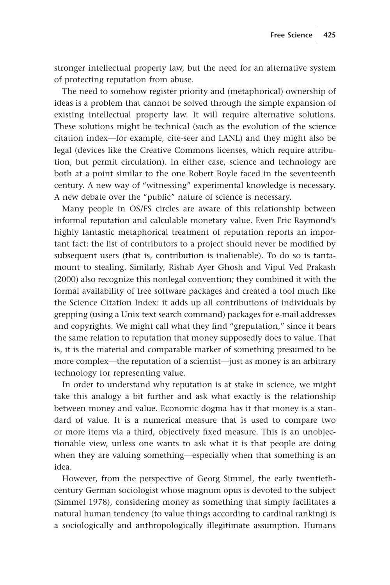stronger intellectual property law, but the need for an alternative system of protecting reputation from abuse.

The need to somehow register priority and (metaphorical) ownership of ideas is a problem that cannot be solved through the simple expansion of existing intellectual property law. It will require alternative solutions. These solutions might be technical (such as the evolution of the science citation index—for example, cite-seer and LANL) and they might also be legal (devices like the Creative Commons licenses, which require attribution, but permit circulation). In either case, science and technology are both at a point similar to the one Robert Boyle faced in the seventeenth century. A new way of "witnessing" experimental knowledge is necessary. A new debate over the "public" nature of science is necessary.

Many people in OS/FS circles are aware of this relationship between informal reputation and calculable monetary value. Even Eric Raymond's highly fantastic metaphorical treatment of reputation reports an important fact: the list of contributors to a project should never be modified by subsequent users (that is, contribution is inalienable). To do so is tantamount to stealing. Similarly, Rishab Ayer Ghosh and Vipul Ved Prakash (2000) also recognize this nonlegal convention; they combined it with the formal availability of free software packages and created a tool much like the Science Citation Index: it adds up all contributions of individuals by grepping (using a Unix text search command) packages for e-mail addresses and copyrights. We might call what they find "greputation," since it bears the same relation to reputation that money supposedly does to value. That is, it is the material and comparable marker of something presumed to be more complex—the reputation of a scientist—just as money is an arbitrary technology for representing value.

In order to understand why reputation is at stake in science, we might take this analogy a bit further and ask what exactly is the relationship between money and value. Economic dogma has it that money is a standard of value. It is a numerical measure that is used to compare two or more items via a third, objectively fixed measure. This is an unobjectionable view, unless one wants to ask what it is that people are doing when they are valuing something—especially when that something is an idea.

However, from the perspective of Georg Simmel, the early twentiethcentury German sociologist whose magnum opus is devoted to the subject (Simmel 1978), considering money as something that simply facilitates a natural human tendency (to value things according to cardinal ranking) is a sociologically and anthropologically illegitimate assumption. Humans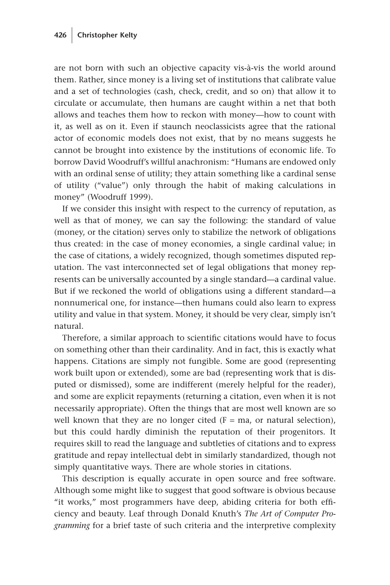are not born with such an objective capacity vis-à-vis the world around them. Rather, since money is a living set of institutions that calibrate value and a set of technologies (cash, check, credit, and so on) that allow it to circulate or accumulate, then humans are caught within a net that both allows and teaches them how to reckon with money—how to count with it, as well as on it. Even if staunch neoclassicists agree that the rational actor of economic models does not exist, that by no means suggests he cannot be brought into existence by the institutions of economic life. To borrow David Woodruff's willful anachronism: "Humans are endowed only with an ordinal sense of utility; they attain something like a cardinal sense of utility ("value") only through the habit of making calculations in money" (Woodruff 1999).

If we consider this insight with respect to the currency of reputation, as well as that of money, we can say the following: the standard of value (money, or the citation) serves only to stabilize the network of obligations thus created: in the case of money economies, a single cardinal value; in the case of citations, a widely recognized, though sometimes disputed reputation. The vast interconnected set of legal obligations that money represents can be universally accounted by a single standard—a cardinal value. But if we reckoned the world of obligations using a different standard—a nonnumerical one, for instance—then humans could also learn to express utility and value in that system. Money, it should be very clear, simply isn't natural.

Therefore, a similar approach to scientific citations would have to focus on something other than their cardinality. And in fact, this is exactly what happens. Citations are simply not fungible. Some are good (representing work built upon or extended), some are bad (representing work that is disputed or dismissed), some are indifferent (merely helpful for the reader), and some are explicit repayments (returning a citation, even when it is not necessarily appropriate). Often the things that are most well known are so well known that they are no longer cited  $(F = ma)$ , or natural selection), but this could hardly diminish the reputation of their progenitors. It requires skill to read the language and subtleties of citations and to express gratitude and repay intellectual debt in similarly standardized, though not simply quantitative ways. There are whole stories in citations.

This description is equally accurate in open source and free software. Although some might like to suggest that good software is obvious because "it works," most programmers have deep, abiding criteria for both efficiency and beauty. Leaf through Donald Knuth's *The Art of Computer Programming* for a brief taste of such criteria and the interpretive complexity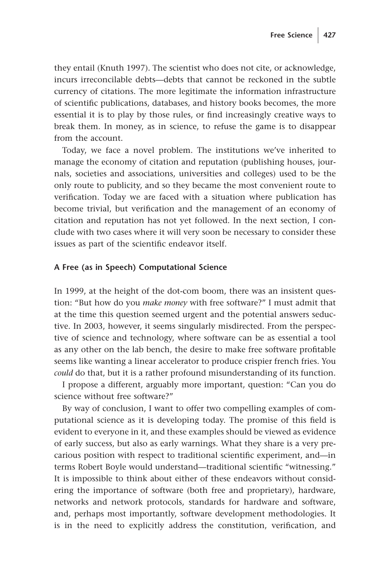they entail (Knuth 1997). The scientist who does not cite, or acknowledge, incurs irreconcilable debts—debts that cannot be reckoned in the subtle currency of citations. The more legitimate the information infrastructure of scientific publications, databases, and history books becomes, the more essential it is to play by those rules, or find increasingly creative ways to break them. In money, as in science, to refuse the game is to disappear from the account.

Today, we face a novel problem. The institutions we've inherited to manage the economy of citation and reputation (publishing houses, journals, societies and associations, universities and colleges) used to be the only route to publicity, and so they became the most convenient route to verification. Today we are faced with a situation where publication has become trivial, but verification and the management of an economy of citation and reputation has not yet followed. In the next section, I conclude with two cases where it will very soon be necessary to consider these issues as part of the scientific endeavor itself.

#### **A Free (as in Speech) Computational Science**

In 1999, at the height of the dot-com boom, there was an insistent question: "But how do you *make money* with free software?" I must admit that at the time this question seemed urgent and the potential answers seductive. In 2003, however, it seems singularly misdirected. From the perspective of science and technology, where software can be as essential a tool as any other on the lab bench, the desire to make free software profitable seems like wanting a linear accelerator to produce crispier french fries. You *could* do that, but it is a rather profound misunderstanding of its function.

I propose a different, arguably more important, question: "Can you do science without free software?"

By way of conclusion, I want to offer two compelling examples of computational science as it is developing today. The promise of this field is evident to everyone in it, and these examples should be viewed as evidence of early success, but also as early warnings. What they share is a very precarious position with respect to traditional scientific experiment, and—in terms Robert Boyle would understand—traditional scientific "witnessing." It is impossible to think about either of these endeavors without considering the importance of software (both free and proprietary), hardware, networks and network protocols, standards for hardware and software, and, perhaps most importantly, software development methodologies. It is in the need to explicitly address the constitution, verification, and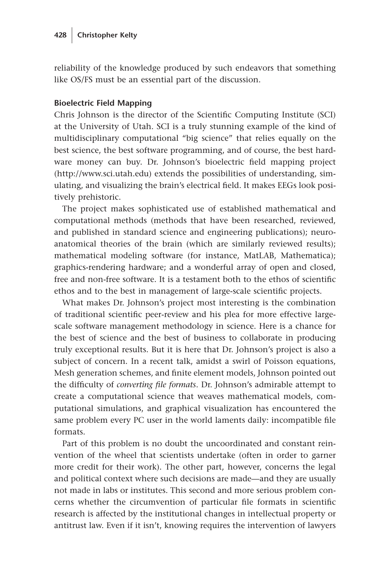reliability of the knowledge produced by such endeavors that something like OS/FS must be an essential part of the discussion.

# **Bioelectric Field Mapping**

Chris Johnson is the director of the Scientific Computing Institute (SCI) at the University of Utah. SCI is a truly stunning example of the kind of multidisciplinary computational "big science" that relies equally on the best science, the best software programming, and of course, the best hardware money can buy. Dr. Johnson's bioelectric field mapping project (http://www.sci.utah.edu) extends the possibilities of understanding, simulating, and visualizing the brain's electrical field. It makes EEGs look positively prehistoric.

The project makes sophisticated use of established mathematical and computational methods (methods that have been researched, reviewed, and published in standard science and engineering publications); neuroanatomical theories of the brain (which are similarly reviewed results); mathematical modeling software (for instance, MatLAB, Mathematica); graphics-rendering hardware; and a wonderful array of open and closed, free and non-free software. It is a testament both to the ethos of scientific ethos and to the best in management of large-scale scientific projects.

What makes Dr. Johnson's project most interesting is the combination of traditional scientific peer-review and his plea for more effective largescale software management methodology in science. Here is a chance for the best of science and the best of business to collaborate in producing truly exceptional results. But it is here that Dr. Johnson's project is also a subject of concern. In a recent talk, amidst a swirl of Poisson equations, Mesh generation schemes, and finite element models, Johnson pointed out the difficulty of *converting file formats*. Dr. Johnson's admirable attempt to create a computational science that weaves mathematical models, computational simulations, and graphical visualization has encountered the same problem every PC user in the world laments daily: incompatible file formats.

Part of this problem is no doubt the uncoordinated and constant reinvention of the wheel that scientists undertake (often in order to garner more credit for their work). The other part, however, concerns the legal and political context where such decisions are made—and they are usually not made in labs or institutes. This second and more serious problem concerns whether the circumvention of particular file formats in scientific research is affected by the institutional changes in intellectual property or antitrust law. Even if it isn't, knowing requires the intervention of lawyers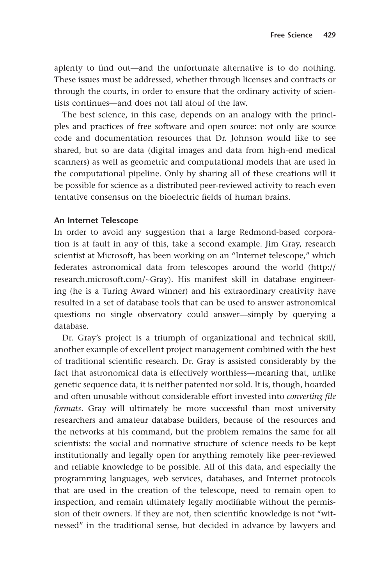aplenty to find out—and the unfortunate alternative is to do nothing. These issues must be addressed, whether through licenses and contracts or through the courts, in order to ensure that the ordinary activity of scientists continues—and does not fall afoul of the law.

The best science, in this case, depends on an analogy with the principles and practices of free software and open source: not only are source code and documentation resources that Dr. Johnson would like to see shared, but so are data (digital images and data from high-end medical scanners) as well as geometric and computational models that are used in the computational pipeline. Only by sharing all of these creations will it be possible for science as a distributed peer-reviewed activity to reach even tentative consensus on the bioelectric fields of human brains.

#### **An Internet Telescope**

In order to avoid any suggestion that a large Redmond-based corporation is at fault in any of this, take a second example. Jim Gray, research scientist at Microsoft, has been working on an "Internet telescope," which federates astronomical data from telescopes around the world (http:// research.microsoft.com/~Gray). His manifest skill in database engineering (he is a Turing Award winner) and his extraordinary creativity have resulted in a set of database tools that can be used to answer astronomical questions no single observatory could answer—simply by querying a database.

Dr. Gray's project is a triumph of organizational and technical skill, another example of excellent project management combined with the best of traditional scientific research. Dr. Gray is assisted considerably by the fact that astronomical data is effectively worthless—meaning that, unlike genetic sequence data, it is neither patented nor sold. It is, though, hoarded and often unusable without considerable effort invested into *converting file formats*. Gray will ultimately be more successful than most university researchers and amateur database builders, because of the resources and the networks at his command, but the problem remains the same for all scientists: the social and normative structure of science needs to be kept institutionally and legally open for anything remotely like peer-reviewed and reliable knowledge to be possible. All of this data, and especially the programming languages, web services, databases, and Internet protocols that are used in the creation of the telescope, need to remain open to inspection, and remain ultimately legally modifiable without the permission of their owners. If they are not, then scientific knowledge is not "witnessed" in the traditional sense, but decided in advance by lawyers and